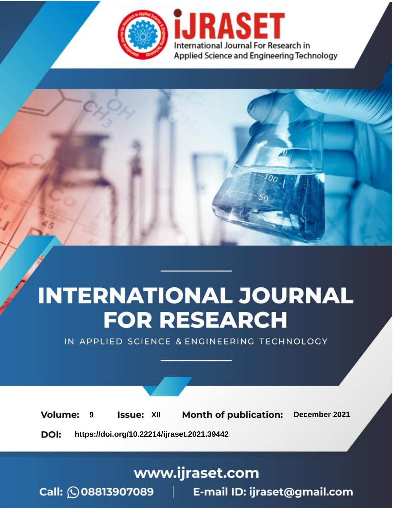



IN APPLIED SCIENCE & ENGINEERING TECHNOLOGY

**9 Issue:** XII **Month of publication:** December 2021 **Volume: https://doi.org/10.22214/ijraset.2021.39442**DOI:

www.ijraset.com

Call: 008813907089 | E-mail ID: ijraset@gmail.com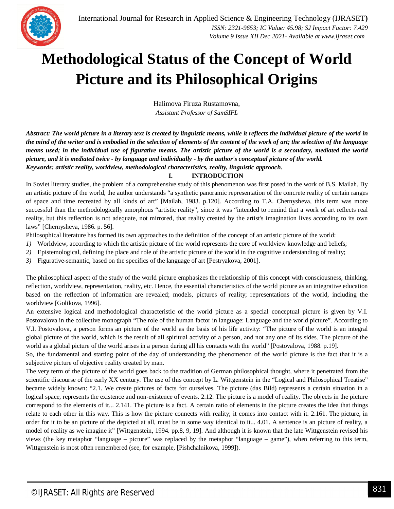

## **Methodological Status of the Concept of World Picture and its Philosophical Origins**

Halimova Firuza Rustamovna, *Assistant Professor of SamSIFL*

*Abstract: The world picture in a literary text is created by linguistic means, while it reflects the individual picture of the world in the mind of the writer and is embodied in the selection of elements of the content of the work of art; the selection of the language means used; in the individual use of figurative means. The artistic picture of the world is a secondary, mediated the world picture, and it is mediated twice - by language and individually - by the author's conceptual picture of the world. Keywords: artistic reality, worldview, methodological characteristics, reality, linguistic approach.*

## **I. INTRODUCTION**

In Soviet literary studies, the problem of a comprehensive study of this phenomenon was first posed in the work of B.S. Mailah. By an artistic picture of the world, the author understands "a synthetic panoramic representation of the concrete reality of certain ranges of space and time recreated by all kinds of art" [Mailah, 1983. p.120]. According to T.A. Chernysheva, this term was more successful than the methodologically amorphous "artistic reality", since it was "intended to remind that a work of art reflects real reality, but this reflection is not adequate, not mirrored, that reality created by the artist's imagination lives according to its own laws" [Chernysheva, 1986. p. 56].

Philosophical literature has formed its own approaches to the definition of the concept of an artistic picture of the world:

- *1)* Worldview, according to which the artistic picture of the world represents the core of worldview knowledge and beliefs;
- *2)* Epistemological, defining the place and role of the artistic picture of the world in the cognitive understanding of reality;
- *3)* Figurative-semantic, based on the specifics of the language of art [Pestryakova, 2001].

The philosophical aspect of the study of the world picture emphasizes the relationship of this concept with consciousness, thinking, reflection, worldview, representation, reality, etc. Hence, the essential characteristics of the world picture as an integrative education based on the reflection of information are revealed; models, pictures of reality; representations of the world, including the worldview [Golikova, 1996].

An extensive logical and methodological characteristic of the world picture as a special conceptual picture is given by V.I. Postovalova in the collective monograph "The role of the human factor in language: Language and the world picture". According to V.I. Postovalova, a person forms an picture of the world as the basis of his life activity: "The picture of the world is an integral global picture of the world, which is the result of all spiritual activity of a person, and not any one of its sides. The picture of the world as a global picture of the world arises in a person during all his contacts with the world" [Postovalova, 1988. p.19].

So, the fundamental and starting point of the day of understanding the phenomenon of the world picture is the fact that it is a subjective picture of objective reality created by man.

The very term of the picture of the world goes back to the tradition of German philosophical thought, where it penetrated from the scientific discourse of the early XX century. The use of this concept by L. Wittgenstein in the "Logical and Philosophical Treatise" became widely known: "2.1. We create pictures of facts for ourselves. The picture (das Bild) represents a certain situation in a logical space, represents the existence and non-existence of events. 2.12. The picture is a model of reality. The objects in the picture correspond to the elements of it... 2.141. The picture is a fact. A certain ratio of elements in the picture creates the idea that things relate to each other in this way. This is how the picture connects with reality; it comes into contact with it. 2.161. The picture, in order for it to be an picture of the depicted at all, must be in some way identical to it... 4.01. A sentence is an picture of reality, a model of reality as we imagine it" [Wittgenstein, 1994. pp.8, 9, 19]. And although it is known that the late Wittgenstein revised his views (the key metaphor "language – picture" was replaced by the metaphor "language – game"), when referring to this term, Wittgenstein is most often remembered (see, for example, [Pishchalnikova, 1999]).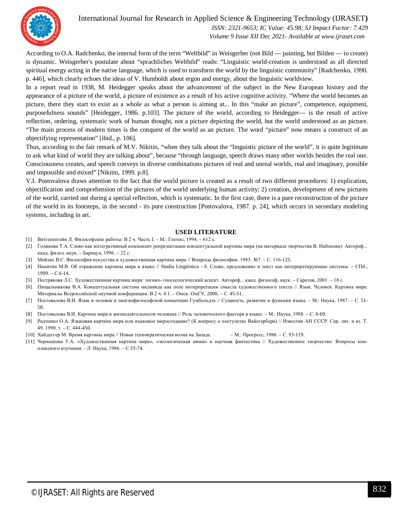

International Journal for Research in Applied Science & Engineering Technology (IJRASET**)**  *ISSN: 2321-9653; IC Value: 45.98; SJ Impact Factor: 7.429*

 *Volume 9 Issue XII Dec 2021- Available at www.ijraset.com*

According to O.A. Radchenko, the internal form of the term "Weltbild" in Weisgerber (not Bild — painting, but Bilden — to create) is dynamic. Weisgerber's postulate about "sprachliches Weltbild" reads: "Linguistic world-creation is understood as all directed spiritual energy acting in the native language, which is used to transform the world by the linguistic community" [Radchenko, 1990. p. 446], which clearly echoes the ideas of V. Humboldt about ergon and energy, about the linguistic worldview.

In a report read in 1938, M. Heidegger speaks about the advancement of the subject in the New European history and the appearance of a picture of the world, a picture of existence as a result of his active cognitive activity. "Where the world becomes an picture, there they start to exist as a whole as what a person is aiming at... In this "make an picture", competence, equipment, purposefulness sounds" [Heidegger, 1986. p.103]. The picture of the world, according to Heidegger— is the result of active reflection, ordering, systematic work of human thought, not a picture depicting the world, but the world understood as an picture. "The main process of modern times is the conquest of the world as an picture. The word "picture" now means a construct of an objectifying representation" [ibid., p. 106].

Thus, according to the fair remark of M.V. Nikitin, "when they talk about the "linguistic picture of the world", it is quite legitimate to ask what kind of world they are talking about", because "through language, speech draws many other worlds besides the real one. Consciousness creates, and speech conveys in diverse combinations pictures of real and unreal worlds, real and imaginary, possible and impossible and mixed" [Nikitin, 1999. p.8].

V.I. Postovalova draws attention to the fact that the world picture is created as a result of two different procedures: 1) explication, objectification and comprehension of the pictures of the world underlying human activity; 2) creation, development of new pictures of the world, carried out during a special reflection, which is systematic. In the first case, there is a pure reconstruction of the picture of the world in its footsteps, in the second - its pure construction [Postovalova, 1987. p. 24], which occurs in secondary modeling systems, including in art.

## **USED LITERATURE**

- [1] Витгенштейн Л. Философские работы: В 2 ч. Часть I. М.: Гпозпс, 1994. 612 с.
- [2] Голикова Т.А. Слово как интегративный компонент репрезентации концептуальной картины мира (на материале творчества В. Набокова): Автореф... канд. филол. наук. – Барнаул, 1996. – 22 с.
- [3] Мейлах B.C. Философия искусства и художественная картина мира // Вопросы философии. 1983. №7. С. 116-125.
- [4] Никитин М.В. Об отражении картины мира в языке // Studia Lingüistica 8. Слово, предложение и текст как интерпретирующие системы. СПб., 1999. – С.6-14.
- [5] Пестрякова Л.С. Художественная картина мира: логико- гносеологический аспект. Автореф... канд. философ, наук. Саратов, 2001. 18 с
- [6] Пищальникова В.А. Концептуальная система индивида как поле интерпретации смысла художественного текста // Язык. Человек. Картина мира: Материалы Всероссийской научной конференции. В 2 ч. 4.1. – Омск: ОмГУ, 2000. – С. 45-51.
- [7] Постовалова В.И. Язык и человек в лингвофилософской концепции Гумбольдта // Сущность, развитие и функции языка. М.: Наука, 1987. С. 51- 58.
- [8] Постовалова В.И. Картина мира в жизнедеятельности человека // Роль человеческого фактора в языке. М.: Наука, 1988. С. 8-69.
- [9] Радченко O.A. Языковая картина мира или языковое миросоздание? (К вопросу о постулатах Вайсгербера) // Известия АН СССР. Сер. лит. и яз. Т. 49. 1990. т. – С. 444-450.
- [10] Хайдеггер М. Время картины мира // Новая технократическая волна на Западе. М.: Прогресс, 1986. С. 93-119.
- [11] Чернышева Т.А. «Художественная картина мира», «экологическая ниша» и научная фантастика // Художественное творчество: Вопросы комплексного изучения. - Л: Наука, 1986. – С.55-74.